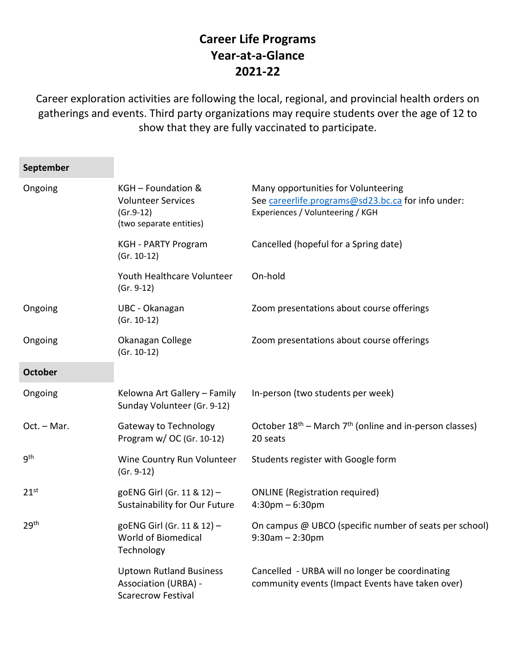## **Career Life Programs Year-at-a-Glance 2021-22**

Career exploration activities are following the local, regional, and provincial health orders on gatherings and events. Third party organizations may require students over the age of 12 to show that they are fully vaccinated to participate.

| September      |                                                                                            |                                                                                                                               |
|----------------|--------------------------------------------------------------------------------------------|-------------------------------------------------------------------------------------------------------------------------------|
| Ongoing        | KGH - Foundation &<br><b>Volunteer Services</b><br>$(Gr.9-12)$<br>(two separate entities)  | Many opportunities for Volunteering<br>See careerlife.programs@sd23.bc.ca for info under:<br>Experiences / Volunteering / KGH |
|                | <b>KGH - PARTY Program</b><br>$(Gr. 10-12)$                                                | Cancelled (hopeful for a Spring date)                                                                                         |
|                | Youth Healthcare Volunteer<br>$(Gr. 9-12)$                                                 | On-hold                                                                                                                       |
| Ongoing        | UBC - Okanagan<br>$(Gr. 10-12)$                                                            | Zoom presentations about course offerings                                                                                     |
| Ongoing        | Okanagan College<br>$(Gr. 10-12)$                                                          | Zoom presentations about course offerings                                                                                     |
| <b>October</b> |                                                                                            |                                                                                                                               |
| Ongoing        | Kelowna Art Gallery - Family<br>Sunday Volunteer (Gr. 9-12)                                | In-person (two students per week)                                                                                             |
| Oct. - Mar.    | <b>Gateway to Technology</b><br>Program w/ OC (Gr. 10-12)                                  | October $18^{th}$ – March $7^{th}$ (online and in-person classes)<br>20 seats                                                 |
| gth            | Wine Country Run Volunteer<br>$(Gr. 9-12)$                                                 | Students register with Google form                                                                                            |
| $21^{st}$      | goENG Girl (Gr. 11 & 12) -<br>Sustainability for Our Future                                | <b>ONLINE</b> (Registration required)<br>$4:30$ pm $-6:30$ pm                                                                 |
| 29th           | goENG Girl (Gr. 11 & 12) -<br>World of Biomedical<br>Technology                            | On campus @ UBCO (specific number of seats per school)<br>$9:30am - 2:30pm$                                                   |
|                | <b>Uptown Rutland Business</b><br><b>Association (URBA) -</b><br><b>Scarecrow Festival</b> | Cancelled - URBA will no longer be coordinating<br>community events (Impact Events have taken over)                           |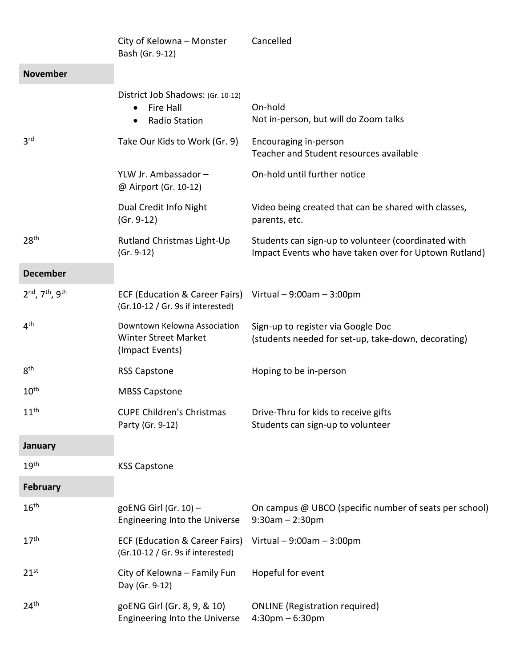|                  | City of Kelowna - Monster<br>Bash (Gr. 9-12)                                                    | Cancelled                                                                                                    |
|------------------|-------------------------------------------------------------------------------------------------|--------------------------------------------------------------------------------------------------------------|
| <b>November</b>  |                                                                                                 |                                                                                                              |
|                  | District Job Shadows: (Gr. 10-12)<br><b>Fire Hall</b><br>٠<br><b>Radio Station</b><br>$\bullet$ | On-hold<br>Not in-person, but will do Zoom talks                                                             |
| 3 <sup>rd</sup>  | Take Our Kids to Work (Gr. 9)                                                                   | Encouraging in-person<br>Teacher and Student resources available                                             |
|                  | YLW Jr. Ambassador -<br>@ Airport (Gr. 10-12)                                                   | On-hold until further notice                                                                                 |
|                  | Dual Credit Info Night<br>$(Gr. 9-12)$                                                          | Video being created that can be shared with classes,<br>parents, etc.                                        |
| 28 <sup>th</sup> | Rutland Christmas Light-Up<br>$(Gr. 9-12)$                                                      | Students can sign-up to volunteer (coordinated with<br>Impact Events who have taken over for Uptown Rutland) |
| <b>December</b>  |                                                                                                 |                                                                                                              |
| 2nd, 7th, 9th    | ECF (Education & Career Fairs)<br>(Gr.10-12 / Gr. 9s if interested)                             | Virtual $-9:00$ am $-3:00$ pm                                                                                |
| 4 <sup>th</sup>  | Downtown Kelowna Association<br><b>Winter Street Market</b><br>(Impact Events)                  | Sign-up to register via Google Doc<br>(students needed for set-up, take-down, decorating)                    |
| 8 <sup>th</sup>  | <b>RSS Capstone</b>                                                                             | Hoping to be in-person                                                                                       |
| 10 <sup>th</sup> | <b>MBSS Capstone</b>                                                                            |                                                                                                              |
| 11 <sup>th</sup> | <b>CUPE Children's Christmas</b><br>Party (Gr. 9-12)                                            | Drive-Thru for kids to receive gifts<br>Students can sign-up to volunteer                                    |
| January          |                                                                                                 |                                                                                                              |
| 19 <sup>th</sup> | <b>KSS Capstone</b>                                                                             |                                                                                                              |
| <b>February</b>  |                                                                                                 |                                                                                                              |
| 16 <sup>th</sup> | goENG Girl (Gr. $10$ ) -<br>Engineering Into the Universe                                       | On campus @ UBCO (specific number of seats per school)<br>$9:30$ am $-2:30$ pm                               |
| 17 <sup>th</sup> | <b>ECF (Education &amp; Career Fairs)</b><br>(Gr.10-12 / Gr. 9s if interested)                  | Virtual $-9:00$ am $-3:00$ pm                                                                                |
| 21 <sup>st</sup> | City of Kelowna - Family Fun<br>Day (Gr. 9-12)                                                  | Hopeful for event                                                                                            |
| 24 <sup>th</sup> | goENG Girl (Gr. 8, 9, & 10)<br>Engineering Into the Universe                                    | <b>ONLINE</b> (Registration required)<br>$4:30$ pm – 6:30pm                                                  |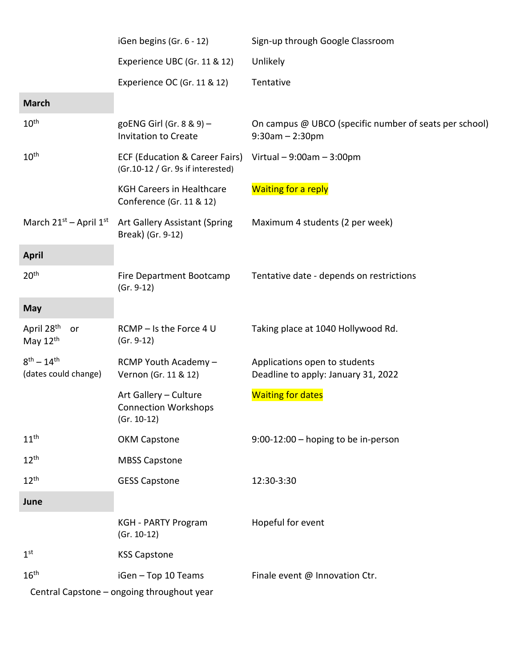|                                            | iGen begins (Gr. 6 - 12)                                              | Sign-up through Google Classroom                                            |
|--------------------------------------------|-----------------------------------------------------------------------|-----------------------------------------------------------------------------|
|                                            | Experience UBC (Gr. 11 & 12)                                          | Unlikely                                                                    |
|                                            | Experience OC (Gr. 11 & 12)                                           | Tentative                                                                   |
| <b>March</b>                               |                                                                       |                                                                             |
| $10^{\text{th}}$                           | goENG Girl (Gr. 8 & 9) -<br><b>Invitation to Create</b>               | On campus @ UBCO (specific number of seats per school)<br>$9:30am - 2:30pm$ |
| $10^{\text{th}}$                           | ECF (Education & Career Fairs)<br>(Gr.10-12 / Gr. 9s if interested)   | Virtual $-9:00$ am $-3:00$ pm                                               |
|                                            | <b>KGH Careers in Healthcare</b><br>Conference (Gr. 11 & 12)          | <b>Waiting for a reply</b>                                                  |
| March $21^{st}$ – April $1^{st}$           | Art Gallery Assistant (Spring<br>Break) (Gr. 9-12)                    | Maximum 4 students (2 per week)                                             |
| <b>April</b>                               |                                                                       |                                                                             |
| 20 <sup>th</sup>                           | Fire Department Bootcamp<br>$(Gr. 9-12)$                              | Tentative date - depends on restrictions                                    |
| <b>May</b>                                 |                                                                       |                                                                             |
| April 28 <sup>th</sup><br>or<br>May $12th$ | RCMP - Is the Force 4 U<br>$(Gr. 9-12)$                               | Taking place at 1040 Hollywood Rd.                                          |
| $8^{th} - 14^{th}$<br>(dates could change) | RCMP Youth Academy -<br>Vernon (Gr. 11 & 12)                          | Applications open to students<br>Deadline to apply: January 31, 2022        |
|                                            | Art Gallery - Culture<br><b>Connection Workshops</b><br>$(Gr. 10-12)$ | <b>Waiting for dates</b>                                                    |
| 11 <sup>th</sup>                           | <b>OKM Capstone</b>                                                   | $9:00-12:00$ - hoping to be in-person                                       |
| 12 <sup>th</sup>                           | <b>MBSS Capstone</b>                                                  |                                                                             |
| 12 <sup>th</sup>                           | <b>GESS Capstone</b>                                                  | 12:30-3:30                                                                  |
| June                                       |                                                                       |                                                                             |
|                                            | <b>KGH - PARTY Program</b><br>$(Gr. 10-12)$                           | Hopeful for event                                                           |
| 1 <sup>st</sup>                            | <b>KSS Capstone</b>                                                   |                                                                             |
| 16 <sup>th</sup>                           | iGen - Top 10 Teams                                                   | Finale event @ Innovation Ctr.                                              |
|                                            | Central Capstone - ongoing throughout year                            |                                                                             |